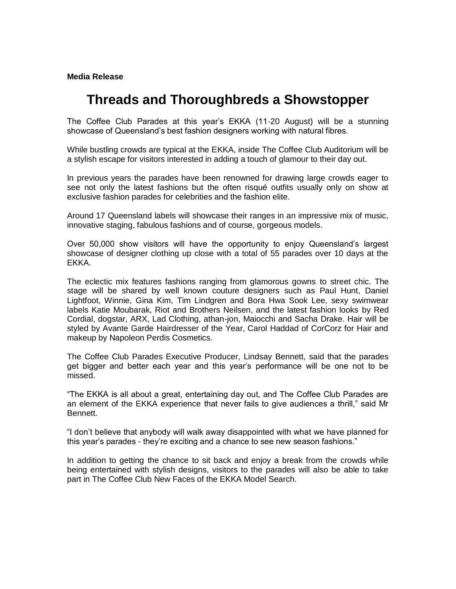## **Media Release**

## **Threads and Thoroughbreds a Showstopper**

The Coffee Club Parades at this year's EKKA (11-20 August) will be a stunning showcase of Queensland's best fashion designers working with natural fibres.

While bustling crowds are typical at the EKKA, inside The Coffee Club Auditorium will be a stylish escape for visitors interested in adding a touch of glamour to their day out.

In previous years the parades have been renowned for drawing large crowds eager to see not only the latest fashions but the often risqué outfits usually only on show at exclusive fashion parades for celebrities and the fashion elite.

Around 17 Queensland labels will showcase their ranges in an impressive mix of music, innovative staging, fabulous fashions and of course, gorgeous models.

Over 50,000 show visitors will have the opportunity to enjoy Queensland's largest showcase of designer clothing up close with a total of 55 parades over 10 days at the EKKA.

The eclectic mix features fashions ranging from glamorous gowns to street chic. The stage will be shared by well known couture designers such as Paul Hunt, Daniel Lightfoot, Winnie, Gina Kim, Tim Lindgren and Bora Hwa Sook Lee, sexy swimwear labels Katie Moubarak, Riot and Brothers Neilsen, and the latest fashion looks by Red Cordial, dogstar, ARX, Lad Clothing, athan-jon, Maiocchi and Sacha Drake. Hair will be styled by Avante Garde Hairdresser of the Year, Carol Haddad of CorCorz for Hair and makeup by Napoleon Perdis Cosmetics.

The Coffee Club Parades Executive Producer, Lindsay Bennett, said that the parades get bigger and better each year and this year's performance will be one not to be missed.

"The EKKA is all about a great, entertaining day out, and The Coffee Club Parades are an element of the EKKA experience that never fails to give audiences a thrill," said Mr Bennett.

"I don't believe that anybody will walk away disappointed with what we have planned for this year's parades - they're exciting and a chance to see new season fashions."

In addition to getting the chance to sit back and enjoy a break from the crowds while being entertained with stylish designs, visitors to the parades will also be able to take part in The Coffee Club New Faces of the EKKA Model Search.